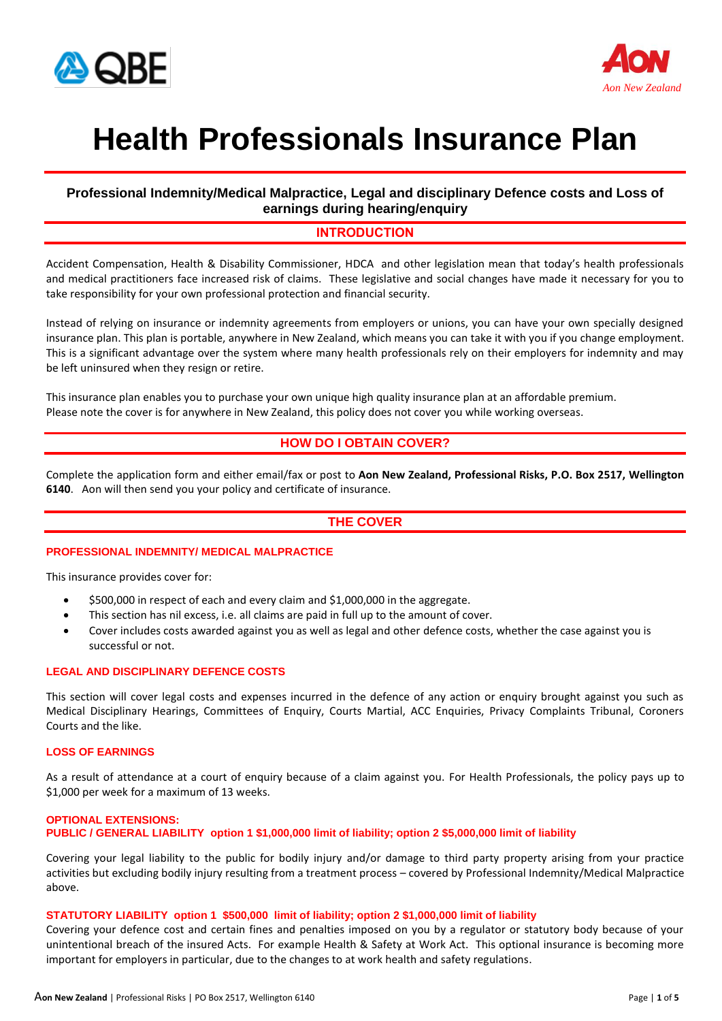



# **Health Professionals Insurance Plan**

## **Professional Indemnity/Medical Malpractice, Legal and disciplinary Defence costs and Loss of earnings during hearing/enquiry**

## **INTRODUCTION**

Accident Compensation, Health & Disability Commissioner, HDCA and other legislation mean that today's health professionals and medical practitioners face increased risk of claims. These legislative and social changes have made it necessary for you to take responsibility for your own professional protection and financial security.

Instead of relying on insurance or indemnity agreements from employers or unions, you can have your own specially designed insurance plan. This plan is portable, anywhere in New Zealand, which means you can take it with you if you change employment. This is a significant advantage over the system where many health professionals rely on their employers for indemnity and may be left uninsured when they resign or retire.

This insurance plan enables you to purchase your own unique high quality insurance plan at an affordable premium. Please note the cover is for anywhere in New Zealand, this policy does not cover you while working overseas.

# **HOW DO I OBTAIN COVER?**

Complete the application form and either email/fax or post to **Aon New Zealand, Professional Risks, P.O. Box 2517, Wellington 6140**. Aon will then send you your policy and certificate of insurance.

## **THE COVER**

#### **PROFESSIONAL INDEMNITY/ MEDICAL MALPRACTICE**

This insurance provides cover for:

- \$500,000 in respect of each and every claim and \$1,000,000 in the aggregate.
- This section has nil excess, i.e. all claims are paid in full up to the amount of cover.
- Cover includes costs awarded against you as well as legal and other defence costs, whether the case against you is successful or not.

#### **LEGAL AND DISCIPLINARY DEFENCE COSTS**

This section will cover legal costs and expenses incurred in the defence of any action or enquiry brought against you such as Medical Disciplinary Hearings, Committees of Enquiry, Courts Martial, ACC Enquiries, Privacy Complaints Tribunal, Coroners Courts and the like.

#### **LOSS OF EARNINGS**

As a result of attendance at a court of enquiry because of a claim against you. For Health Professionals, the policy pays up to \$1,000 per week for a maximum of 13 weeks.

#### **OPTIONAL EXTENSIONS: PUBLIC / GENERAL LIABILITY option 1 \$1,000,000 limit of liability; option 2 \$5,000,000 limit of liability**

Covering your legal liability to the public for bodily injury and/or damage to third party property arising from your practice activities but excluding bodily injury resulting from a treatment process – covered by Professional Indemnity/Medical Malpractice above.

#### **STATUTORY LIABILITY option 1 \$500,000 limit of liability; option 2 \$1,000,000 limit of liability**

Covering your defence cost and certain fines and penalties imposed on you by a regulator or statutory body because of your unintentional breach of the insured Acts. For example Health & Safety at Work Act. This optional insurance is becoming more important for employers in particular, due to the changes to at work health and safety regulations.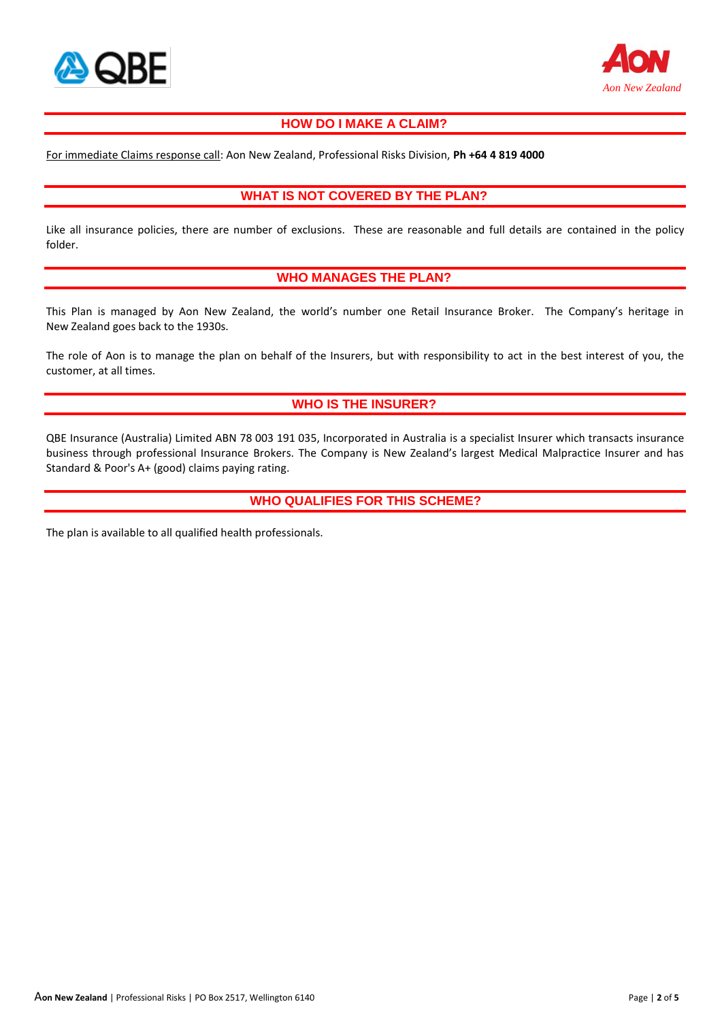



# **HOW DO I MAKE A CLAIM?**

For immediate Claims response call: Aon New Zealand, Professional Risks Division, **Ph +64 4 819 4000**

### **WHAT IS NOT COVERED BY THE PLAN?**

Like all insurance policies, there are number of exclusions. These are reasonable and full details are contained in the policy folder.

#### **WHO MANAGES THE PLAN?**

This Plan is managed by Aon New Zealand, the world's number one Retail Insurance Broker. The Company's heritage in New Zealand goes back to the 1930s.

The role of Aon is to manage the plan on behalf of the Insurers, but with responsibility to act in the best interest of you, the customer, at all times.

# **WHO IS THE INSURER?**

QBE Insurance (Australia) Limited ABN 78 003 191 035, Incorporated in Australia is a specialist Insurer which transacts insurance business through professional Insurance Brokers. The Company is New Zealand's largest Medical Malpractice Insurer and has Standard & Poor's A+ (good) claims paying rating.

#### **WHO QUALIFIES FOR THIS SCHEME?**

The plan is available to all qualified health professionals.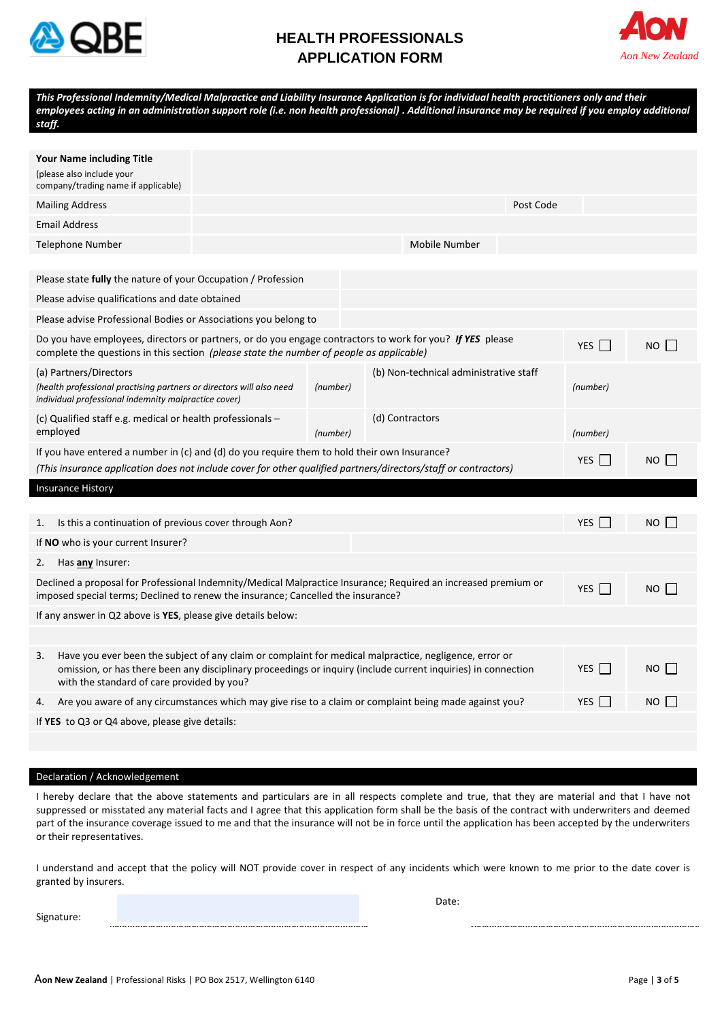

# **HEALTH PROFESSIONALS APPLICATION FORM**



| staff.                                                                                                                                                                                                          | This Professional Indemnity/Medical Malpractice and Liability Insurance Application is for individual health practitioners only and their<br>employees acting in an administration support role (i.e. non health professional) . Additional insurance may be required if you employ additional |  |                                                    |                 |           |            |       |
|-----------------------------------------------------------------------------------------------------------------------------------------------------------------------------------------------------------------|------------------------------------------------------------------------------------------------------------------------------------------------------------------------------------------------------------------------------------------------------------------------------------------------|--|----------------------------------------------------|-----------------|-----------|------------|-------|
|                                                                                                                                                                                                                 |                                                                                                                                                                                                                                                                                                |  |                                                    |                 |           |            |       |
|                                                                                                                                                                                                                 | <b>Your Name including Title</b><br>(please also include your<br>company/trading name if applicable)                                                                                                                                                                                           |  |                                                    |                 |           |            |       |
|                                                                                                                                                                                                                 | <b>Mailing Address</b>                                                                                                                                                                                                                                                                         |  |                                                    |                 | Post Code |            |       |
|                                                                                                                                                                                                                 | <b>Email Address</b>                                                                                                                                                                                                                                                                           |  |                                                    |                 |           |            |       |
|                                                                                                                                                                                                                 | Telephone Number                                                                                                                                                                                                                                                                               |  |                                                    | Mobile Number   |           |            |       |
|                                                                                                                                                                                                                 |                                                                                                                                                                                                                                                                                                |  |                                                    |                 |           |            |       |
|                                                                                                                                                                                                                 | Please state <b>fully</b> the nature of your Occupation / Profession                                                                                                                                                                                                                           |  |                                                    |                 |           |            |       |
|                                                                                                                                                                                                                 | Please advise qualifications and date obtained                                                                                                                                                                                                                                                 |  |                                                    |                 |           |            |       |
|                                                                                                                                                                                                                 | Please advise Professional Bodies or Associations you belong to                                                                                                                                                                                                                                |  |                                                    |                 |           |            |       |
|                                                                                                                                                                                                                 | Do you have employees, directors or partners, or do you engage contractors to work for you? If YES please<br>complete the questions in this section (please state the number of people as applicable)                                                                                          |  | YES $\Box$                                         | $NO$            |           |            |       |
| (a) Partners/Directors<br>(health professional practising partners or directors will also need<br>individual professional indemnity malpractice cover)                                                          |                                                                                                                                                                                                                                                                                                |  | (b) Non-technical administrative staff<br>(number) |                 |           | (number)   |       |
| (c) Qualified staff e.g. medical or health professionals –<br>employed                                                                                                                                          |                                                                                                                                                                                                                                                                                                |  | (number)                                           | (d) Contractors |           | (number)   |       |
| If you have entered a number in (c) and (d) do you require them to hold their own Insurance?<br>(This insurance application does not include cover for other qualified partners/directors/staff or contractors) |                                                                                                                                                                                                                                                                                                |  |                                                    |                 |           | YES        | NO    |
|                                                                                                                                                                                                                 | <b>Insurance History</b>                                                                                                                                                                                                                                                                       |  |                                                    |                 |           |            |       |
|                                                                                                                                                                                                                 |                                                                                                                                                                                                                                                                                                |  |                                                    |                 |           |            |       |
| 1.                                                                                                                                                                                                              | Is this a continuation of previous cover through Aon?                                                                                                                                                                                                                                          |  |                                                    |                 |           | YES        | NO    |
|                                                                                                                                                                                                                 | If NO who is your current Insurer?                                                                                                                                                                                                                                                             |  |                                                    |                 |           |            |       |
| 2.                                                                                                                                                                                                              | Has any Insurer:                                                                                                                                                                                                                                                                               |  |                                                    |                 |           |            |       |
| Declined a proposal for Professional Indemnity/Medical Malpractice Insurance; Required an increased premium or<br>imposed special terms; Declined to renew the insurance; Cancelled the insurance?              |                                                                                                                                                                                                                                                                                                |  |                                                    |                 |           |            | NO II |
|                                                                                                                                                                                                                 | If any answer in Q2 above is YES, please give details below:                                                                                                                                                                                                                                   |  |                                                    |                 |           |            |       |
|                                                                                                                                                                                                                 |                                                                                                                                                                                                                                                                                                |  |                                                    |                 |           |            |       |
| 3.                                                                                                                                                                                                              | Have you ever been the subject of any claim or complaint for medical malpractice, negligence, error or<br>omission, or has there been any disciplinary proceedings or inquiry (include current inquiries) in connection<br>with the standard of care provided by you?                          |  |                                                    |                 |           |            | NO II |
| 4.                                                                                                                                                                                                              | Are you aware of any circumstances which may give rise to a claim or complaint being made against you?                                                                                                                                                                                         |  |                                                    |                 |           | <b>YES</b> | NO.   |
|                                                                                                                                                                                                                 | If YES to Q3 or Q4 above, please give details:                                                                                                                                                                                                                                                 |  |                                                    |                 |           |            |       |

#### Declaration / Acknowledgement

I hereby declare that the above statements and particulars are in all respects complete and true, that they are material and that I have not suppressed or misstated any material facts and I agree that this application form shall be the basis of the contract with underwriters and deemed part of the insurance coverage issued to me and that the insurance will not be in force until the application has been accepted by the underwriters or their representatives.

I understand and accept that the policy will NOT provide cover in respect of any incidents which were known to me prior to the date cover is granted by insurers.

Signature:

Date: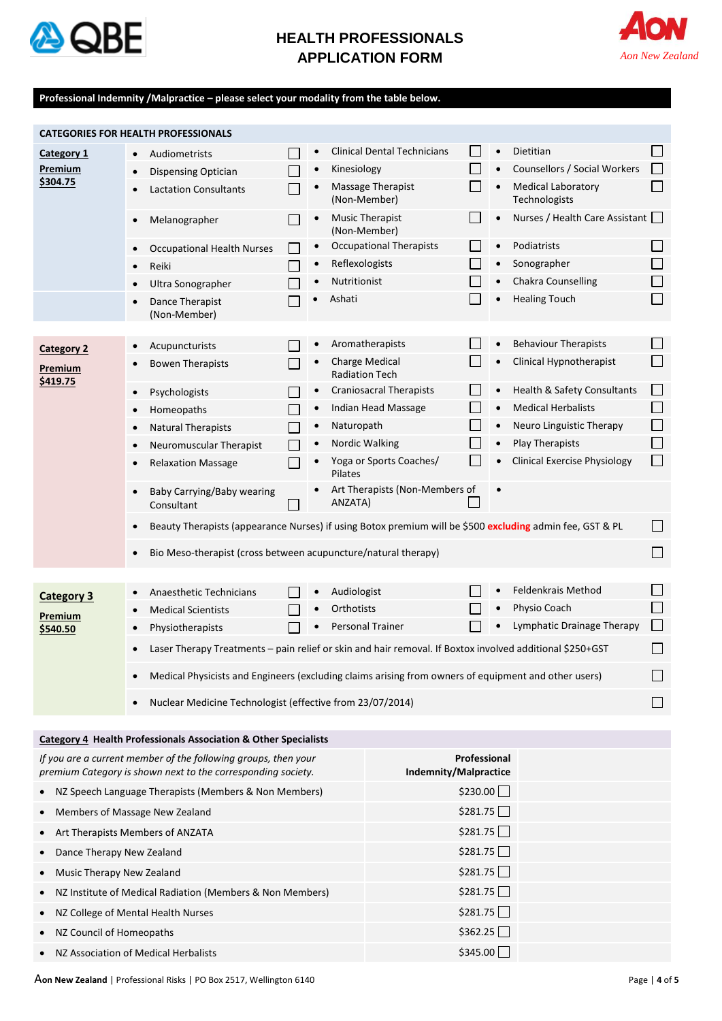

# **HEALTH PROFESSIONALS APPLICATION FORM**



#### **Professional Indemnity /Malpractice – please select your modality from the table below.**

| <b>CATEGORIES FOR HEALTH PROFESSIONALS</b>                                                                                     |                                                                                                                    |                       |                                                                                                      |                                        |                                                       |          |           |                                                          |                                    |  |
|--------------------------------------------------------------------------------------------------------------------------------|--------------------------------------------------------------------------------------------------------------------|-----------------------|------------------------------------------------------------------------------------------------------|----------------------------------------|-------------------------------------------------------|----------|-----------|----------------------------------------------------------|------------------------------------|--|
| Category 1                                                                                                                     | Audiometrists                                                                                                      |                       | $\bullet$                                                                                            |                                        | <b>Clinical Dental Technicians</b>                    |          | $\bullet$ | Dietitian                                                |                                    |  |
| Premium                                                                                                                        | <b>Dispensing Optician</b><br>$\bullet$                                                                            |                       | $\bullet$                                                                                            | Kinesiology                            |                                                       |          |           | Counsellors / Social Workers                             | $\Box$                             |  |
| \$304.75                                                                                                                       | <b>Lactation Consultants</b>                                                                                       |                       |                                                                                                      | (Non-Member)                           | <b>Massage Therapist</b>                              |          | $\bullet$ | <b>Medical Laboratory</b><br>Technologists               | $\Box$                             |  |
|                                                                                                                                | Melanographer                                                                                                      |                       |                                                                                                      | <b>Music Therapist</b><br>(Non-Member) |                                                       |          |           | Nurses / Health Care Assistant                           |                                    |  |
|                                                                                                                                | <b>Occupational Health Nurses</b>                                                                                  |                       | $\bullet$                                                                                            |                                        | <b>Occupational Therapists</b>                        |          | $\bullet$ | Podiatrists                                              |                                    |  |
|                                                                                                                                | Reiki<br>$\bullet$                                                                                                 |                       | $\bullet$                                                                                            | Reflexologists                         |                                                       |          |           | Sonographer                                              | $\Box$                             |  |
|                                                                                                                                | Ultra Sonographer                                                                                                  |                       |                                                                                                      | Nutritionist                           |                                                       |          | $\bullet$ | Chakra Counselling                                       | $\Box$                             |  |
|                                                                                                                                | Dance Therapist<br>(Non-Member)                                                                                    |                       |                                                                                                      | Ashati                                 |                                                       |          |           | <b>Healing Touch</b>                                     | П                                  |  |
|                                                                                                                                |                                                                                                                    |                       |                                                                                                      |                                        | Aromatherapists                                       |          |           | <b>Behaviour Therapists</b>                              |                                    |  |
| <b>Category 2</b>                                                                                                              | Acupuncturists                                                                                                     |                       |                                                                                                      | <b>Charge Medical</b>                  |                                                       |          |           | Clinical Hypnotherapist                                  | $\Box$                             |  |
| Premium<br>\$419.75                                                                                                            | <b>Bowen Therapists</b>                                                                                            |                       |                                                                                                      | <b>Radiation Tech</b>                  |                                                       |          |           |                                                          |                                    |  |
|                                                                                                                                | Psychologists<br>$\bullet$                                                                                         |                       |                                                                                                      |                                        | <b>Craniosacral Therapists</b>                        |          | $\bullet$ | Health & Safety Consultants<br><b>Medical Herbalists</b> | $\vert \ \ \vert$<br>$\mathcal{L}$ |  |
|                                                                                                                                | Homeopaths                                                                                                         |                       | $\bullet$                                                                                            |                                        | Indian Head Massage                                   |          |           |                                                          | $\Box$                             |  |
|                                                                                                                                | <b>Natural Therapists</b>                                                                                          |                       | $\bullet$                                                                                            | Naturopath                             |                                                       |          | $\bullet$ | Neuro Linguistic Therapy                                 | $\Box$                             |  |
|                                                                                                                                | Neuromuscular Therapist                                                                                            |                       | $\bullet$                                                                                            | Nordic Walking                         |                                                       |          |           | Play Therapists<br><b>Clinical Exercise Physiology</b>   | П                                  |  |
|                                                                                                                                | <b>Relaxation Massage</b>                                                                                          |                       |                                                                                                      | Pilates                                | Yoga or Sports Coaches/                               |          |           |                                                          |                                    |  |
|                                                                                                                                | Baby Carrying/Baby wearing<br>$\bullet$<br>Consultant                                                              |                       |                                                                                                      | ANZATA)                                | Art Therapists (Non-Members of                        |          |           |                                                          |                                    |  |
|                                                                                                                                | Beauty Therapists (appearance Nurses) if using Botox premium will be \$500 excluding admin fee, GST & PL<br>$\Box$ |                       |                                                                                                      |                                        |                                                       |          |           |                                                          |                                    |  |
| Bio Meso-therapist (cross between acupuncture/natural therapy)                                                                 |                                                                                                                    |                       |                                                                                                      |                                        |                                                       |          | $\Box$    |                                                          |                                    |  |
|                                                                                                                                |                                                                                                                    |                       |                                                                                                      |                                        |                                                       |          |           | Feldenkrais Method                                       | $\vert \ \ \vert$                  |  |
| <b>Category 3</b>                                                                                                              | Anaesthetic Technicians                                                                                            |                       | ٠                                                                                                    | Audiologist                            |                                                       |          |           |                                                          | П                                  |  |
| Premium                                                                                                                        | <b>Medical Scientists</b>                                                                                          |                       |                                                                                                      | Orthotists                             |                                                       |          | $\bullet$ | Physio Coach                                             | П                                  |  |
| \$540.50                                                                                                                       | Physiotherapists                                                                                                   |                       |                                                                                                      |                                        | Lymphatic Drainage Therapy<br><b>Personal Trainer</b> |          |           |                                                          |                                    |  |
|                                                                                                                                | Laser Therapy Treatments - pain relief or skin and hair removal. If Boxtox involved additional \$250+GST           |                       |                                                                                                      |                                        |                                                       |          |           |                                                          |                                    |  |
|                                                                                                                                |                                                                                                                    |                       | Medical Physicists and Engineers (excluding claims arising from owners of equipment and other users) |                                        |                                                       |          |           |                                                          |                                    |  |
| Nuclear Medicine Technologist (effective from 23/07/2014)                                                                      |                                                                                                                    |                       |                                                                                                      |                                        |                                                       |          |           |                                                          |                                    |  |
|                                                                                                                                |                                                                                                                    |                       |                                                                                                      |                                        |                                                       |          |           |                                                          |                                    |  |
|                                                                                                                                | <b>Category 4 Health Professionals Association &amp; Other Specialists</b>                                         |                       |                                                                                                      |                                        |                                                       |          |           |                                                          |                                    |  |
| If you are a current member of the following groups, then your<br>premium Category is shown next to the corresponding society. |                                                                                                                    | Indemnity/Malpractice | Professional                                                                                         |                                        |                                                       |          |           |                                                          |                                    |  |
| NZ Speech Language Therapists (Members & Non Members)                                                                          |                                                                                                                    |                       |                                                                                                      |                                        |                                                       | \$230.00 |           |                                                          |                                    |  |
| Members of Massage New Zealand                                                                                                 |                                                                                                                    |                       |                                                                                                      |                                        |                                                       | \$281.75 |           |                                                          |                                    |  |
| Art Therapists Members of ANZATA                                                                                               | \$281.75                                                                                                           |                       |                                                                                                      |                                        |                                                       |          |           |                                                          |                                    |  |
| Dance Therapy New Zealand                                                                                                      | \$281.75                                                                                                           |                       |                                                                                                      |                                        |                                                       |          |           |                                                          |                                    |  |
| Music Therapy New Zealand                                                                                                      |                                                                                                                    |                       |                                                                                                      | \$281.75                               |                                                       |          |           |                                                          |                                    |  |
| NZ Institute of Medical Radiation (Members & Non Members)                                                                      |                                                                                                                    |                       |                                                                                                      | \$281.75                               |                                                       |          |           |                                                          |                                    |  |
| NZ College of Mental Health Nurses                                                                                             |                                                                                                                    |                       |                                                                                                      |                                        |                                                       | \$281.75 |           |                                                          |                                    |  |
| NZ Council of Homeopaths                                                                                                       |                                                                                                                    | \$362.25              |                                                                                                      |                                        |                                                       |          |           |                                                          |                                    |  |

• NZ Association of Medical Herbalists  $\overline{\phantom{a}}$   $\overline{\phantom{a}}$   $\overline{\phantom{a}}$   $\overline{\phantom{a}}$   $\overline{\phantom{a}}$   $\overline{\phantom{a}}$   $\overline{\phantom{a}}$   $\overline{\phantom{a}}$   $\overline{\phantom{a}}$   $\overline{\phantom{a}}$   $\overline{\phantom{a}}$   $\overline{\phantom{a}}$   $\overline{\phantom{a}}$   $\overline{\phantom{a}}$   $\overline{\phantom{a}}$   $\$